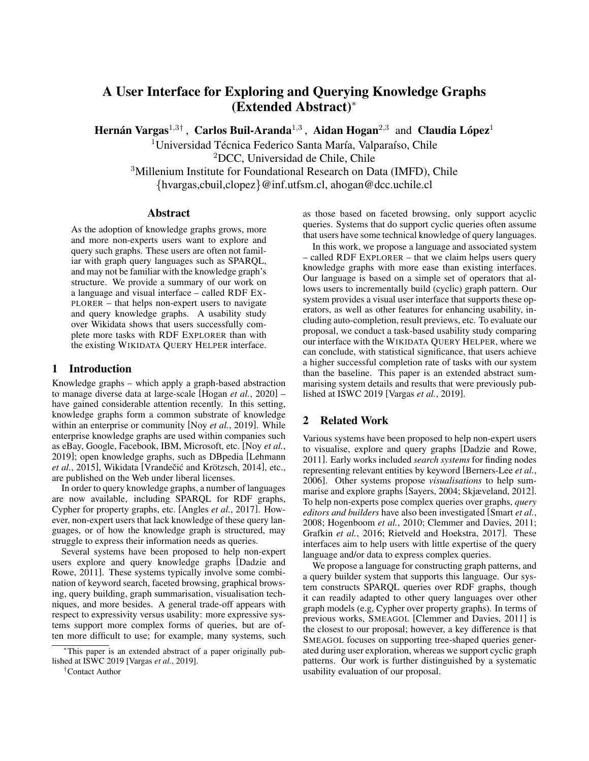# A User Interface for Exploring and Querying Knowledge Graphs (Extended Abstract)<sup>∗</sup>

Hernán Vargas<sup>1,3†</sup>, Carlos Buil-Aranda<sup>1,3</sup>, Aidan Hogan<sup>2,3</sup> and Claudia López<sup>1</sup>

 $1$ Universidad Técnica Federico Santa María, Valparaíso, Chile

<sup>2</sup>DCC, Universidad de Chile, Chile

<sup>3</sup>Millenium Institute for Foundational Research on Data (IMFD), Chile

{hvargas,cbuil,clopez}@inf.utfsm.cl, ahogan@dcc.uchile.cl

## **Abstract**

As the adoption of knowledge graphs grows, more and more non-experts users want to explore and query such graphs. These users are often not familiar with graph query languages such as SPARQL, and may not be familiar with the knowledge graph's structure. We provide a summary of our work on a language and visual interface – called RDF EX-PLORER – that helps non-expert users to navigate and query knowledge graphs. A usability study over Wikidata shows that users successfully complete more tasks with RDF EXPLORER than with the existing WIKIDATA QUERY HELPER interface.

## 1 Introduction

Knowledge graphs – which apply a graph-based abstraction to manage diverse data at large-scale [\[Hogan](#page-4-0) *et al.*, 2020] – have gained considerable attention recently. In this setting, knowledge graphs form a common substrate of knowledge within an enterprise or community [Noy *et al.*[, 2019\]](#page-4-1). While enterprise knowledge graphs are used within companies such as eBay, Google, Facebook, IBM, Microsoft, etc. [Noy *[et al.](#page-4-1)*, [2019\]](#page-4-1); open knowledge graphs, such as DBpedia [\[Lehmann](#page-4-2) *et al.*[, 2015\]](#page-4-2), Wikidata [Vrandečić and Krötzsch, 2014], etc., are published on the Web under liberal licenses.

In order to query knowledge graphs, a number of languages are now available, including SPARQL for RDF graphs, Cypher for property graphs, etc. [\[Angles](#page-4-4) *et al.*, 2017]. However, non-expert users that lack knowledge of these query languages, or of how the knowledge graph is structured, may struggle to express their information needs as queries.

Several systems have been proposed to help non-expert users explore and query knowledge graphs [\[Dadzie and](#page-4-5) [Rowe, 2011\]](#page-4-5). These systems typically involve some combination of keyword search, faceted browsing, graphical browsing, query building, graph summarisation, visualisation techniques, and more besides. A general trade-off appears with respect to expressivity versus usability: more expressive systems support more complex forms of queries, but are often more difficult to use; for example, many systems, such as those based on faceted browsing, only support acyclic queries. Systems that do support cyclic queries often assume that users have some technical knowledge of query languages.

In this work, we propose a language and associated system – called RDF EXPLORER – that we claim helps users query knowledge graphs with more ease than existing interfaces. Our language is based on a simple set of operators that allows users to incrementally build (cyclic) graph pattern. Our system provides a visual user interface that supports these operators, as well as other features for enhancing usability, including auto-completion, result previews, etc. To evaluate our proposal, we conduct a task-based usability study comparing our interface with the WIKIDATA QUERY HELPER, where we can conclude, with statistical significance, that users achieve a higher successful completion rate of tasks with our system than the baseline. This paper is an extended abstract summarising system details and results that were previously published at ISWC 2019 [\[Vargas](#page-4-6) *et al.*, 2019].

# 2 Related Work

Various systems have been proposed to help non-expert users to visualise, explore and query graphs [\[Dadzie and Rowe,](#page-4-5) [2011\]](#page-4-5). Early works included *search systems* for finding nodes representing relevant entities by keyword [\[Berners-Lee](#page-4-7) *et al.*, [2006\]](#page-4-7). Other systems propose *visualisations* to help summarise and explore graphs [\[Sayers, 2004;](#page-4-8) [Skjæveland, 2012\]](#page-4-9). To help non-experts pose complex queries over graphs, *query editors and builders* have also been investigated [\[Smart](#page-4-10) *et al.*, [2008;](#page-4-10) [Hogenboom](#page-4-11) *et al.*, 2010; [Clemmer and Davies, 2011;](#page-4-12) [Grafkin](#page-4-13) *et al.*, 2016; [Rietveld and Hoekstra, 2017\]](#page-4-14). These interfaces aim to help users with little expertise of the query language and/or data to express complex queries.

We propose a language for constructing graph patterns, and a query builder system that supports this language. Our system constructs SPARQL queries over RDF graphs, though it can readily adapted to other query languages over other graph models (e.g, Cypher over property graphs). In terms of previous works, SMEAGOL [\[Clemmer and Davies, 2011\]](#page-4-12) is the closest to our proposal; however, a key difference is that SMEAGOL focuses on supporting tree-shaped queries generated during user exploration, whereas we support cyclic graph patterns. Our work is further distinguished by a systematic usability evaluation of our proposal.

<sup>∗</sup>This paper is an extended abstract of a paper originally published at ISWC 2019 [Vargas *et al.*, 2019].

<sup>†</sup>Contact Author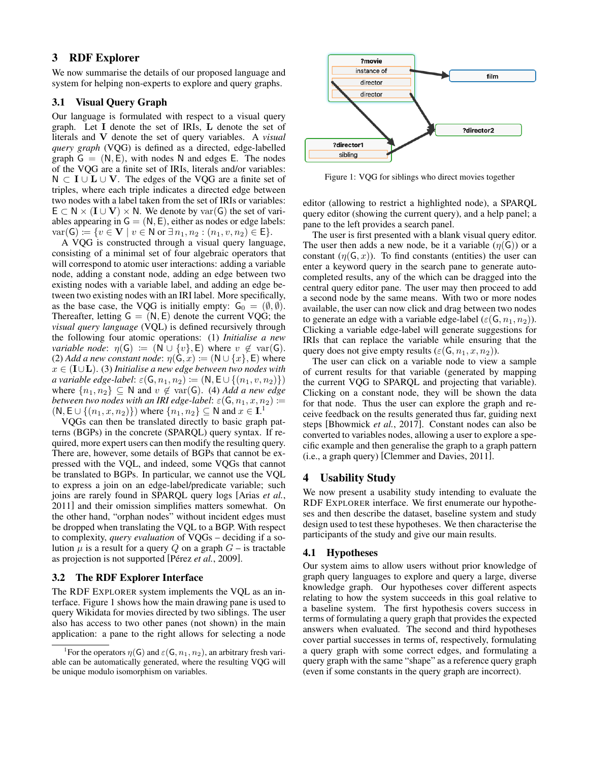# 3 RDF Explorer

We now summarise the details of our proposed language and system for helping non-experts to explore and query graphs.

#### 3.1 Visual Query Graph

Our language is formulated with respect to a visual query graph. Let I denote the set of IRIs, L denote the set of literals and V denote the set of query variables. A *visual query graph* (VQG) is defined as a directed, edge-labelled graph  $G = (N, E)$ , with nodes N and edges E. The nodes of the VQG are a finite set of IRIs, literals and/or variables:  $N \subset I \cup L \cup V$ . The edges of the VQG are a finite set of triples, where each triple indicates a directed edge between two nodes with a label taken from the set of IRIs or variables:  $E \subset N \times (I \cup V) \times N$ . We denote by var(G) the set of variables appearing in  $G = (N, E)$ , either as nodes or edge labels:  $var(G) := \{ v \in V \mid v \in N \text{ or } \exists n_1, n_2 : (n_1, v, n_2) \in E \}.$ 

A VQG is constructed through a visual query language, consisting of a minimal set of four algebraic operators that will correspond to atomic user interactions: adding a variable node, adding a constant node, adding an edge between two existing nodes with a variable label, and adding an edge between two existing nodes with an IRI label. More specifically, as the base case, the VQG is initially empty:  $G_0 = (\emptyset, \emptyset)$ . Thereafter, letting  $G = (N, E)$  denote the current VQG; the *visual query language* (VQL) is defined recursively through the following four atomic operations: (1) *Initialise a new variable node*:  $\eta(G) := (N \cup \{v\}, E)$  where  $v \notin \text{var}(G)$ . (2) *Add a new constant node*:  $\eta$ ( $\mathsf{G}, x$ ) := ( $\mathsf{N} \cup \{x\}$ , E) where x ∈ (I∪L). (3) *Initialise a new edge between two nodes with a variable edge-label*:  $\varepsilon(G, n_1, n_2) := (N, E \cup \{(n_1, v, n_2)\})$ where  $\{n_1, n_2\} \subseteq \mathbb{N}$  and  $v \notin \text{var}(\mathsf{G})$ . (4) *Add a new edge between two nodes with an IRI edge-label:*  $\varepsilon(G, n_1, x, n_2) :=$  $(N, E \cup \{(n_1, x, n_2)\})$  $(N, E \cup \{(n_1, x, n_2)\})$  $(N, E \cup \{(n_1, x, n_2)\})$  where  $\{n_1, n_2\} \subseteq N$  and  $x \in I<sup>1</sup>$ .

VQGs can then be translated directly to basic graph patterns (BGPs) in the concrete (SPARQL) query syntax. If required, more expert users can then modify the resulting query. There are, however, some details of BGPs that cannot be expressed with the VQL, and indeed, some VQGs that cannot be translated to BGPs. In particular, we cannot use the VQL to express a join on an edge-label/predicate variable; such joins are rarely found in SPARQL query logs [\[Arias](#page-4-15) *et al.*, [2011\]](#page-4-15) and their omission simplifies matters somewhat. On the other hand, "orphan nodes" without incident edges must be dropped when translating the VQL to a BGP. With respect to complexity, *query evaluation* of VQGs – deciding if a solution  $\mu$  is a result for a query Q on a graph  $G$  – is tractable as projection is not supported [Pérez et al.[, 2009\]](#page-4-16).

#### 3.2 The RDF Explorer Interface

The RDF EXPLORER system implements the VQL as an interface. Figure [1](#page-1-1) shows how the main drawing pane is used to query Wikidata for movies directed by two siblings. The user also has access to two other panes (not shown) in the main application: a pane to the right allows for selecting a node

<span id="page-1-1"></span>

Figure 1: VQG for siblings who direct movies together

editor (allowing to restrict a highlighted node), a SPARQL query editor (showing the current query), and a help panel; a pane to the left provides a search panel.

The user is first presented with a blank visual query editor. The user then adds a new node, be it a variable  $(\eta(G))$  or a constant  $(n(G, x))$ . To find constants (entities) the user can enter a keyword query in the search pane to generate autocompleted results, any of the which can be dragged into the central query editor pane. The user may then proceed to add a second node by the same means. With two or more nodes available, the user can now click and drag between two nodes to generate an edge with a variable edge-label ( $\varepsilon(G, n_1, n_2)$ ). Clicking a variable edge-label will generate suggestions for IRIs that can replace the variable while ensuring that the query does not give empty results ( $\varepsilon(G, n_1, x, n_2)$ ).

The user can click on a variable node to view a sample of current results for that variable (generated by mapping the current VQG to SPARQL and projecting that variable). Clicking on a constant node, they will be shown the data for that node. Thus the user can explore the graph and receive feedback on the results generated thus far, guiding next steps [\[Bhowmick](#page-4-17) *et al.*, 2017]. Constant nodes can also be converted to variables nodes, allowing a user to explore a specific example and then generalise the graph to a graph pattern (i.e., a graph query) [\[Clemmer and Davies, 2011\]](#page-4-12).

#### <span id="page-1-2"></span>4 Usability Study

We now present a usability study intending to evaluate the RDF EXPLORER interface. We first enumerate our hypotheses and then describe the dataset, baseline system and study design used to test these hypotheses. We then characterise the participants of the study and give our main results.

#### 4.1 Hypotheses

Our system aims to allow users without prior knowledge of graph query languages to explore and query a large, diverse knowledge graph. Our hypotheses cover different aspects relating to how the system succeeds in this goal relative to a baseline system. The first hypothesis covers success in terms of formulating a query graph that provides the expected answers when evaluated. The second and third hypotheses cover partial successes in terms of, respectively, formulating a query graph with some correct edges, and formulating a query graph with the same "shape" as a reference query graph (even if some constants in the query graph are incorrect).

<span id="page-1-0"></span><sup>&</sup>lt;sup>1</sup>For the operators  $\eta(G)$  and  $\varepsilon(G, n_1, n_2)$ , an arbitrary fresh variable can be automatically generated, where the resulting VQG will be unique modulo isomorphism on variables.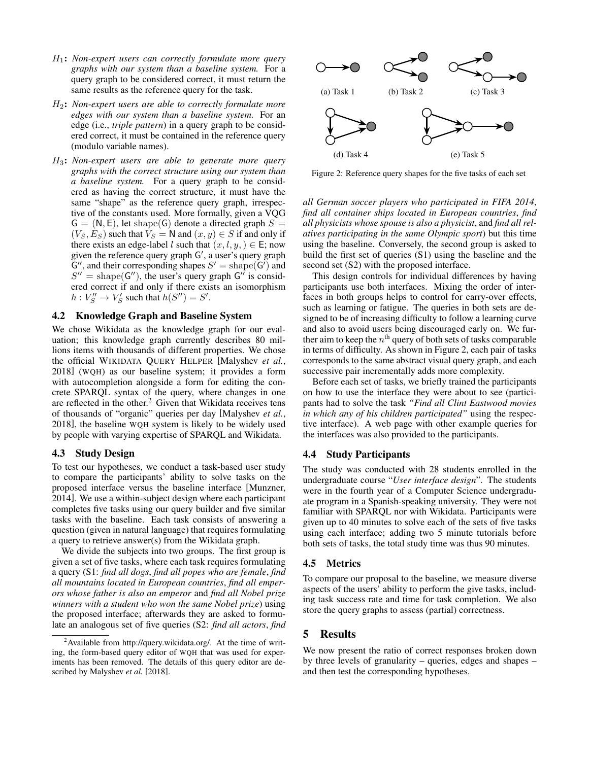- H1: *Non-expert users can correctly formulate more query graphs with our system than a baseline system.* For a query graph to be considered correct, it must return the same results as the reference query for the task.
- H2: *Non-expert users are able to correctly formulate more edges with our system than a baseline system.* For an edge (i.e., *triple pattern*) in a query graph to be considered correct, it must be contained in the reference query (modulo variable names).
- H3: *Non-expert users are able to generate more query graphs with the correct structure using our system than a baseline system.* For a query graph to be considered as having the correct structure, it must have the same "shape" as the reference query graph, irrespective of the constants used. More formally, given a VQG  $G = (N, E)$ , let shape(G) denote a directed graph  $S =$  $(V_S, E_S)$  such that  $V_S = N$  and  $(x, y) \in S$  if and only if there exists an edge-label l such that  $(x, l, y) \in \mathsf{E}$ ; now given the reference query graph G', a user's query graph  $\mathsf{G}''$ , and their corresponding shapes  $S' = \text{shape}(\mathsf{G}')$  and  $S'' =$  shape(G''), the user's query graph G'' is considered correct if and only if there exists an isomorphism  $h: V''_S \to V'_S$  such that  $h(S'') = S'.$

# 4.2 Knowledge Graph and Baseline System

We chose Wikidata as the knowledge graph for our evaluation; this knowledge graph currently describes 80 millions items with thousands of different properties. We chose the official WIKIDATA QUERY HELPER [\[Malyshev](#page-4-18) *et al.*, [2018\]](#page-4-18) (WQH) as our baseline system; it provides a form with autocompletion alongside a form for editing the concrete SPARQL syntax of the query, where changes in one are reflected in the other.<sup>[2](#page-2-0)</sup> Given that Wikidata receives tens of thousands of "organic" queries per day [\[Malyshev](#page-4-18) *et al.*, [2018\]](#page-4-18), the baseline WQH system is likely to be widely used by people with varying expertise of SPARQL and Wikidata.

#### 4.3 Study Design

To test our hypotheses, we conduct a task-based user study to compare the participants' ability to solve tasks on the proposed interface versus the baseline interface [\[Munzner,](#page-4-19) [2014\]](#page-4-19). We use a within-subject design where each participant completes five tasks using our query builder and five similar tasks with the baseline. Each task consists of answering a question (given in natural language) that requires formulating a query to retrieve answer(s) from the Wikidata graph.

We divide the subjects into two groups. The first group is given a set of five tasks, where each task requires formulating a query (S1: *find all dogs*, *find all popes who are female*, *find all mountains located in European countries*, *find all emperors whose father is also an emperor* and *find all Nobel prize winners with a student who won the same Nobel prize*) using the proposed interface; afterwards they are asked to formulate an analogous set of five queries (S2: *find all actors*, *find*

<span id="page-2-1"></span>

Figure 2: Reference query shapes for the five tasks of each set

*all German soccer players who participated in FIFA 2014*, *find all container ships located in European countries*, *find all physicists whose spouse is also a physicist*, and *find all relatives participating in the same Olympic sport*) but this time using the baseline. Conversely, the second group is asked to build the first set of queries (S1) using the baseline and the second set (S2) with the proposed interface.

This design controls for individual differences by having participants use both interfaces. Mixing the order of interfaces in both groups helps to control for carry-over effects, such as learning or fatigue. The queries in both sets are designed to be of increasing difficulty to follow a learning curve and also to avoid users being discouraged early on. We further aim to keep the  $n^{\rm th}$  query of both sets of tasks comparable in terms of difficulty. As shown in Figure [2,](#page-2-1) each pair of tasks corresponds to the same abstract visual query graph, and each successive pair incrementally adds more complexity.

Before each set of tasks, we briefly trained the participants on how to use the interface they were about to see (participants had to solve the task *"Find all Clint Eastwood movies in which any of his children participated"* using the respective interface). A web page with other example queries for the interfaces was also provided to the participants.

#### 4.4 Study Participants

The study was conducted with 28 students enrolled in the undergraduate course "*User interface design*". The students were in the fourth year of a Computer Science undergraduate program in a Spanish-speaking university. They were not familiar with SPARQL nor with Wikidata. Participants were given up to 40 minutes to solve each of the sets of five tasks using each interface; adding two 5 minute tutorials before both sets of tasks, the total study time was thus 90 minutes.

#### 4.5 Metrics

To compare our proposal to the baseline, we measure diverse aspects of the users' ability to perform the give tasks, including task success rate and time for task completion. We also store the query graphs to assess (partial) correctness.

## 5 Results

We now present the ratio of correct responses broken down by three levels of granularity – queries, edges and shapes – and then test the corresponding hypotheses.

<span id="page-2-0"></span> $2A$ vailable from [http://query.wikidata.org/.](http://query.wikidata.org/) At the time of writing, the form-based query editor of WQH that was used for experiments has been removed. The details of this query editor are described by [Malyshev](#page-4-18) *et al.* [\[2018\]](#page-4-18).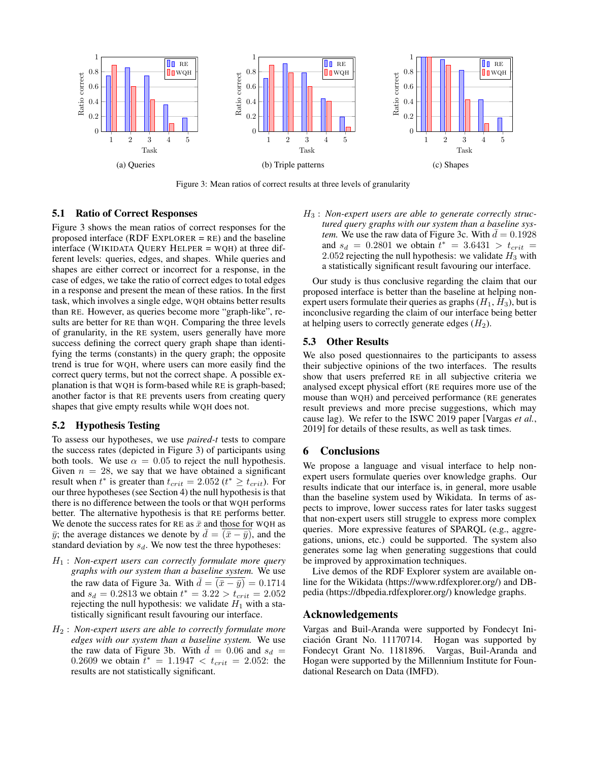<span id="page-3-0"></span>

Figure 3: Mean ratios of correct results at three levels of granularity

# 5.1 Ratio of Correct Responses

Figure [3](#page-3-0) shows the mean ratios of correct responses for the proposed interface (RDF EXPLORER = RE) and the baseline interface (WIKIDATA QUERY HELPER = WQH) at three different levels: queries, edges, and shapes. While queries and shapes are either correct or incorrect for a response, in the case of edges, we take the ratio of correct edges to total edges in a response and present the mean of these ratios. In the first task, which involves a single edge, WQH obtains better results than RE. However, as queries become more "graph-like", results are better for RE than WQH. Comparing the three levels of granularity, in the RE system, users generally have more success defining the correct query graph shape than identifying the terms (constants) in the query graph; the opposite trend is true for WQH, where users can more easily find the correct query terms, but not the correct shape. A possible explanation is that WQH is form-based while RE is graph-based; another factor is that RE prevents users from creating query shapes that give empty results while WQH does not.

#### 5.2 Hypothesis Testing

To assess our hypotheses, we use *paired-t* tests to compare the success rates (depicted in Figure [3\)](#page-3-0) of participants using both tools. We use  $\alpha = 0.05$  to reject the null hypothesis. Given  $n = 28$ , we say that we have obtained a significant result when  $t^*$  is greater than  $t_{crit} = 2.052$  ( $t^* \geq t_{crit}$ ). For our three hypotheses (see Section [4\)](#page-1-2) the null hypothesis is that there is no difference between the tools or that WQH performs better. The alternative hypothesis is that RE performs better. We denote the success rates for RE as  $\bar{x}$  and those for WQH as  $\bar{y}$ ; the average distances we denote by  $\bar{d} = (\bar{x} - \bar{y})$ , and the standard deviation by  $s_d$ . We now test the three hypotheses:

- H<sup>1</sup> : *Non-expert users can correctly formulate more query graphs with our system than a baseline system.* We use the raw data of Figure [3a.](#page-3-0) With  $\bar{d} = (\bar{x} - \bar{y}) = 0.1714$ and  $s_d = 0.2813$  we obtain  $t^* = 3.22 > t_{crit} = 2.052$ rejecting the null hypothesis: we validate  $H_1$  with a statistically significant result favouring our interface.
- H<sup>2</sup> : *Non-expert users are able to correctly formulate more edges with our system than a baseline system.* We use the raw data of Figure [3b.](#page-3-0) With  $\overline{d} = 0.06$  and  $s_d =$ 0.2609 we obtain  $\bar{t}^* = 1.1947 < t_{crit} = 2.052$ : the results are not statistically significant.

H<sup>3</sup> : *Non-expert users are able to generate correctly structured query graphs with our system than a baseline system.* We use the raw data of Figure [3c.](#page-3-0) With  $d = 0.1928$ and  $s_d = 0.2801$  we obtain  $t^* = 3.6431 > t_{crit} =$ 2.052 rejecting the null hypothesis: we validate  $H_3$  with a statistically significant result favouring our interface.

Our study is thus conclusive regarding the claim that our proposed interface is better than the baseline at helping nonexpert users formulate their queries as graphs  $(H_1, H_3)$ , but is inconclusive regarding the claim of our interface being better at helping users to correctly generate edges  $(H_2)$ .

#### 5.3 Other Results

We also posed questionnaires to the participants to assess their subjective opinions of the two interfaces. The results show that users preferred RE in all subjective criteria we analysed except physical effort (RE requires more use of the mouse than WQH) and perceived performance (RE generates result previews and more precise suggestions, which may cause lag). We refer to the ISWC 2019 paper [\[Vargas](#page-4-6) *et al.*, [2019\]](#page-4-6) for details of these results, as well as task times.

# 6 Conclusions

We propose a language and visual interface to help nonexpert users formulate queries over knowledge graphs. Our results indicate that our interface is, in general, more usable than the baseline system used by Wikidata. In terms of aspects to improve, lower success rates for later tasks suggest that non-expert users still struggle to express more complex queries. More expressive features of SPARQL (e.g., aggregations, unions, etc.) could be supported. The system also generates some lag when generating suggestions that could be improved by approximation techniques.

Live demos of the RDF Explorer system are available online for the Wikidata [\(https://www.rdfexplorer.org/\)](https://www.rdfexplorer.org/) and DBpedia [\(https://dbpedia.rdfexplorer.org/\)](https://dbpedia.rdfexplorer.org/) knowledge graphs.

### Acknowledgements

Vargas and Buil-Aranda were supported by Fondecyt Iniciacion Grant No. 11170714. Hogan was supported by ´ Fondecyt Grant No. 1181896. Vargas, Buil-Aranda and Hogan were supported by the Millennium Institute for Foundational Research on Data (IMFD).